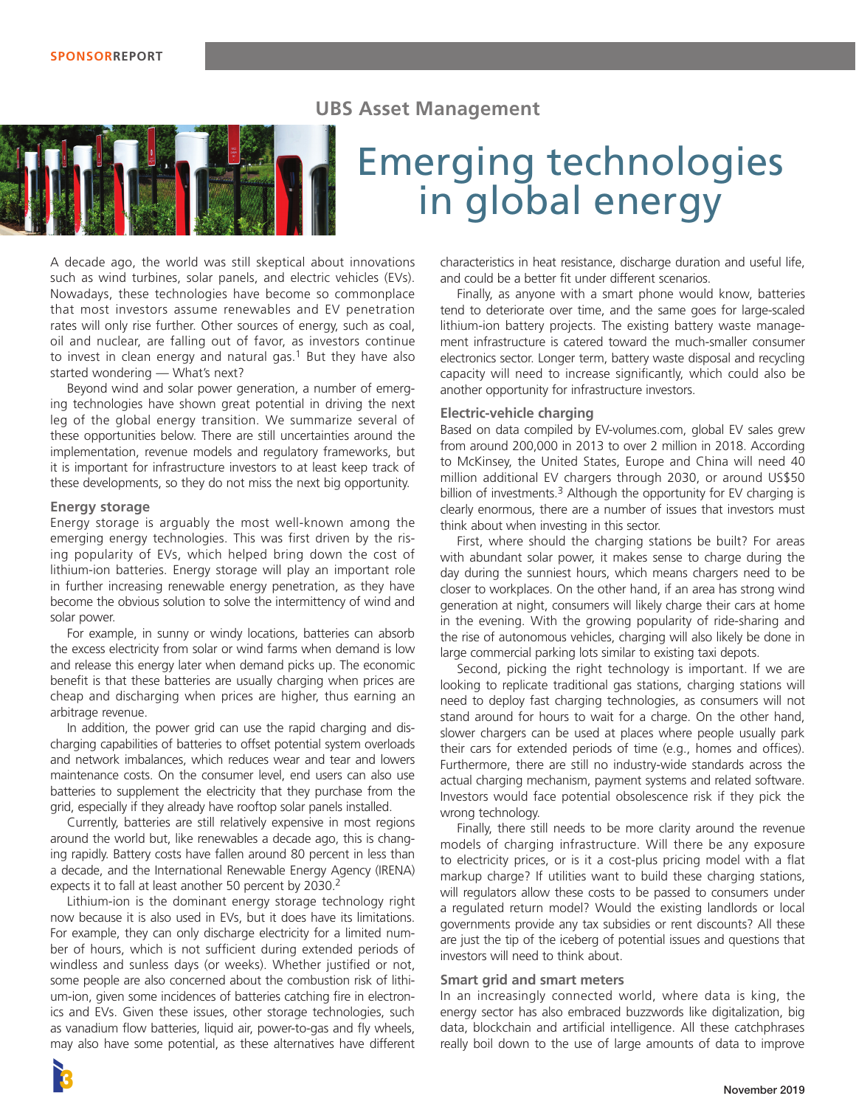## **UBS Asset Management**



# Emerging technologies in global energy

A decade ago, the world was still skeptical about innovations such as wind turbines, solar panels, and electric vehicles (EVs). Nowadays, these technologies have become so commonplace that most investors assume renewables and EV penetration rates will only rise further. Other sources of energy, such as coal, oil and nuclear, are falling out of favor, as investors continue to invest in clean energy and natural gas.<sup>1</sup> But they have also started wondering — What's next?

Beyond wind and solar power generation, a number of emerging technologies have shown great potential in driving the next leg of the global energy transition. We summarize several of these opportunities below. There are still uncertainties around the implementation, revenue models and regulatory frameworks, but it is important for infrastructure investors to at least keep track of these developments, so they do not miss the next big opportunity.

## **Energy storage**

Energy storage is arguably the most well-known among the emerging energy technologies. This was first driven by the rising popularity of EVs, which helped bring down the cost of lithium-ion batteries. Energy storage will play an important role in further increasing renewable energy penetration, as they have become the obvious solution to solve the intermittency of wind and solar power.

For example, in sunny or windy locations, batteries can absorb the excess electricity from solar or wind farms when demand is low and release this energy later when demand picks up. The economic benefit is that these batteries are usually charging when prices are cheap and discharging when prices are higher, thus earning an arbitrage revenue.

In addition, the power grid can use the rapid charging and discharging capabilities of batteries to offset potential system overloads and network imbalances, which reduces wear and tear and lowers maintenance costs. On the consumer level, end users can also use batteries to supplement the electricity that they purchase from the grid, especially if they already have rooftop solar panels installed.

Currently, batteries are still relatively expensive in most regions around the world but, like renewables a decade ago, this is changing rapidly. Battery costs have fallen around 80 percent in less than a decade, and the International Renewable Energy Agency (IRENA) expects it to fall at least another 50 percent by 2030.<sup>2</sup>

Lithium-ion is the dominant energy storage technology right now because it is also used in EVs, but it does have its limitations. For example, they can only discharge electricity for a limited number of hours, which is not sufficient during extended periods of windless and sunless days (or weeks). Whether justified or not, some people are also concerned about the combustion risk of lithium-ion, given some incidences of batteries catching fire in electronics and EVs. Given these issues, other storage technologies, such as vanadium flow batteries, liquid air, power-to-gas and fly wheels, may also have some potential, as these alternatives have different

characteristics in heat resistance, discharge duration and useful life, and could be a better fit under different scenarios.

Finally, as anyone with a smart phone would know, batteries tend to deteriorate over time, and the same goes for large-scaled lithium-ion battery projects. The existing battery waste management infrastructure is catered toward the much-smaller consumer electronics sector. Longer term, battery waste disposal and recycling capacity will need to increase significantly, which could also be another opportunity for infrastructure investors.

## **Electric-vehicle charging**

Based on data compiled by EV-volumes.com, global EV sales grew from around 200,000 in 2013 to over 2 million in 2018. According to McKinsey, the United States, Europe and China will need 40 million additional EV chargers through 2030, or around US\$50 billion of investments.<sup>3</sup> Although the opportunity for EV charging is clearly enormous, there are a number of issues that investors must think about when investing in this sector.

First, where should the charging stations be built? For areas with abundant solar power, it makes sense to charge during the day during the sunniest hours, which means chargers need to be closer to workplaces. On the other hand, if an area has strong wind generation at night, consumers will likely charge their cars at home in the evening. With the growing popularity of ride-sharing and the rise of autonomous vehicles, charging will also likely be done in large commercial parking lots similar to existing taxi depots.

Second, picking the right technology is important. If we are looking to replicate traditional gas stations, charging stations will need to deploy fast charging technologies, as consumers will not stand around for hours to wait for a charge. On the other hand, slower chargers can be used at places where people usually park their cars for extended periods of time (e.g., homes and offices). Furthermore, there are still no industry-wide standards across the actual charging mechanism, payment systems and related software. Investors would face potential obsolescence risk if they pick the wrong technology.

Finally, there still needs to be more clarity around the revenue models of charging infrastructure. Will there be any exposure to electricity prices, or is it a cost-plus pricing model with a flat markup charge? If utilities want to build these charging stations, will regulators allow these costs to be passed to consumers under a regulated return model? Would the existing landlords or local governments provide any tax subsidies or rent discounts? All these are just the tip of the iceberg of potential issues and questions that investors will need to think about.

## **Smart grid and smart meters**

In an increasingly connected world, where data is king, the energy sector has also embraced buzzwords like digitalization, big data, blockchain and artificial intelligence. All these catchphrases really boil down to the use of large amounts of data to improve